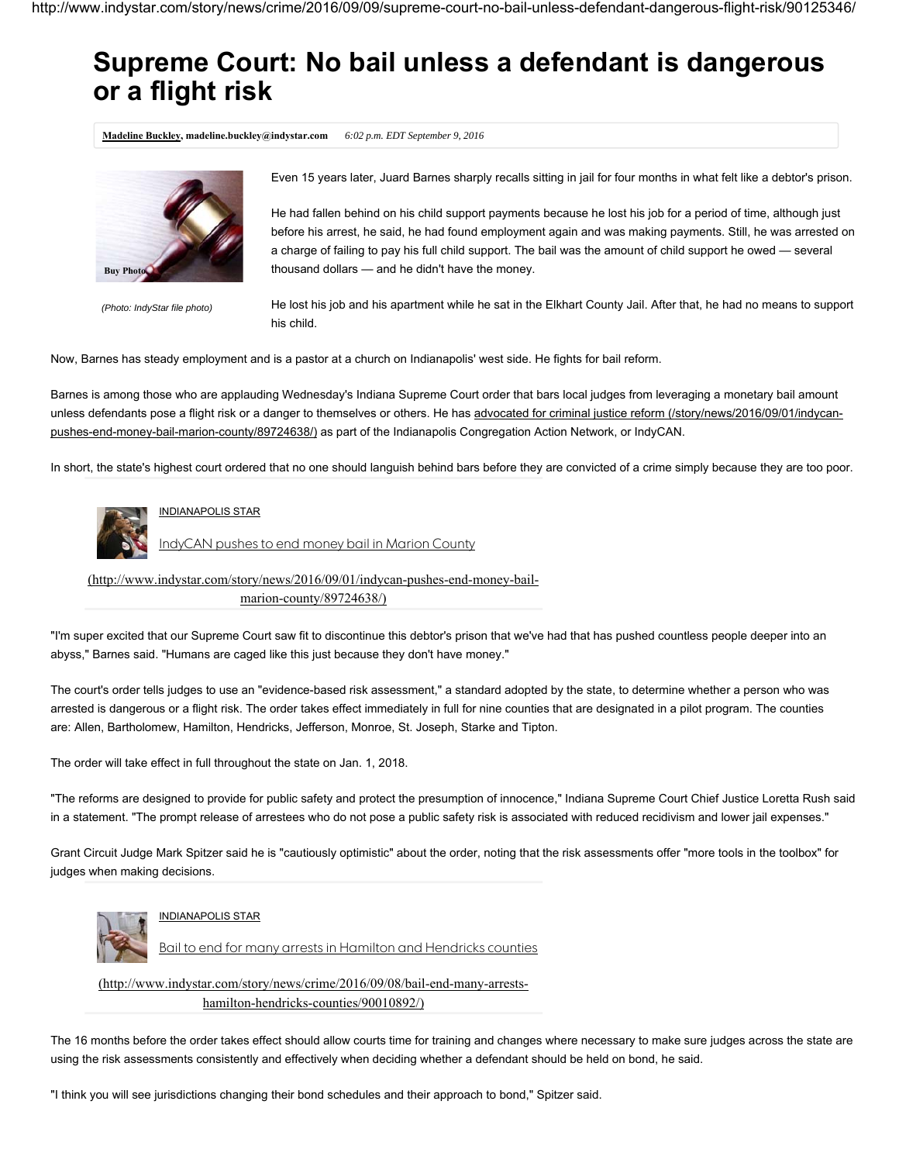## **Supreme Court: No bail unless a defendant is dangerous or a flight risk**

**Madeline Buckley, madeline.buckley@indystar.com** *6:02 p.m. EDT September 9, 2016*



*(Photo: IndyStar file photo)*

Even 15 years later, Juard Barnes sharply recalls sitting in jail for four months in what felt like a debtor's prison.

He had fallen behind on his child support payments because he lost his job for a period of time, although just before his arrest, he said, he had found employment again and was making payments. Still, he was arrested on a charge of failing to pay his full child support. The bail was the amount of child support he owed — several thousand dollars — and he didn't have the money.

He lost his job and his apartment while he sat in the Elkhart County Jail. After that, he had no means to support his child.

Now, Barnes has steady employment and is a pastor at a church on Indianapolis' west side. He fights for bail reform.

Barnes is among those who are applauding Wednesday's Indiana Supreme Court order that bars local judges from leveraging a monetary bail amount unless defendants pose a flight risk or a danger to themselves or others. He has advocated for criminal justice reform (/story/news/2016/09/01/indycanpushes-end-money-bail-marion-county/89724638/) as part of the Indianapolis Congregation Action Network, or IndyCAN.

In short, the state's highest court ordered that no one should languish behind bars before they are convicted of a crime simply because they are too poor.



## INDIANAPOLIS STAR

IndyCAN pushes to end money bail in Marion County

(http://www.indystar.com/story/news/2016/09/01/indycan-pushes-end-money-bailmarion-county/89724638/)

"I'm super excited that our Supreme Court saw fit to discontinue this debtor's prison that we've had that has pushed countless people deeper into an abyss," Barnes said. "Humans are caged like this just because they don't have money."

The court's order tells judges to use an "evidence-based risk assessment," a standard adopted by the state, to determine whether a person who was arrested is dangerous or a flight risk. The order takes effect immediately in full for nine counties that are designated in a pilot program. The counties are: Allen, Bartholomew, Hamilton, Hendricks, Jefferson, Monroe, St. Joseph, Starke and Tipton.

The order will take effect in full throughout the state on Jan. 1, 2018.

"The reforms are designed to provide for public safety and protect the presumption of innocence," Indiana Supreme Court Chief Justice Loretta Rush said in a statement. "The prompt release of arrestees who do not pose a public safety risk is associated with reduced recidivism and lower jail expenses."

Grant Circuit Judge Mark Spitzer said he is "cautiously optimistic" about the order, noting that the risk assessments offer "more tools in the toolbox" for judges when making decisions.



## INDIANAPOLIS STAR

Bail to end for many arrests in Hamilton and Hendricks counties

(http://www.indystar.com/story/news/crime/2016/09/08/bail-end-many-arrestshamilton-hendricks-counties/90010892/)

The 16 months before the order takes effect should allow courts time for training and changes where necessary to make sure judges across the state are using the risk assessments consistently and effectively when deciding whether a defendant should be held on bond, he said.

"I think you will see jurisdictions changing their bond schedules and their approach to bond," Spitzer said.